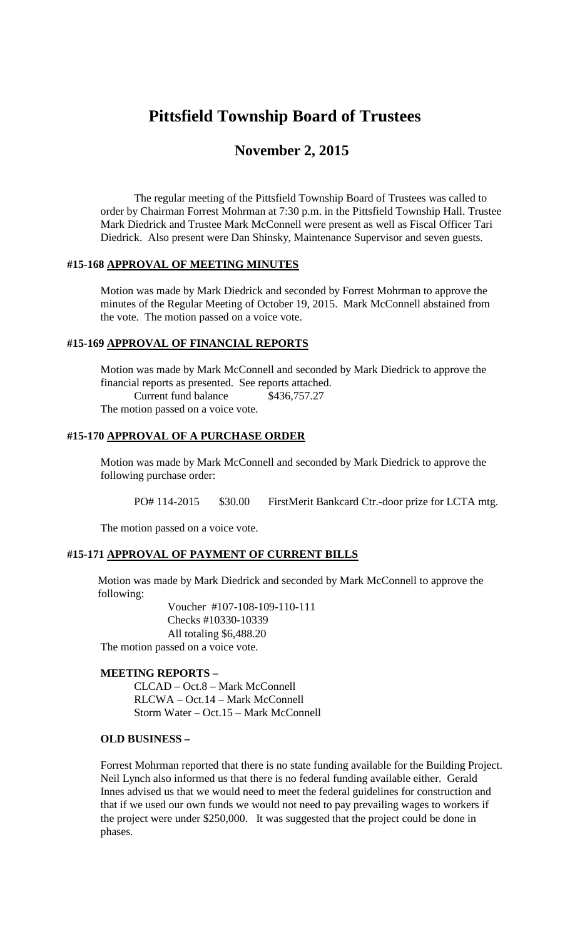# **Pittsfield Township Board of Trustees**

# **November 2, 2015**

The regular meeting of the Pittsfield Township Board of Trustees was called to order by Chairman Forrest Mohrman at 7:30 p.m. in the Pittsfield Township Hall. Trustee Mark Diedrick and Trustee Mark McConnell were present as well as Fiscal Officer Tari Diedrick. Also present were Dan Shinsky, Maintenance Supervisor and seven guests.

#### **#15-168 APPROVAL OF MEETING MINUTES**

Motion was made by Mark Diedrick and seconded by Forrest Mohrman to approve the minutes of the Regular Meeting of October 19, 2015. Mark McConnell abstained from the vote. The motion passed on a voice vote.

#### **#15-169 APPROVAL OF FINANCIAL REPORTS**

Motion was made by Mark McConnell and seconded by Mark Diedrick to approve the financial reports as presented. See reports attached. Current fund balance \$436,757.27 The motion passed on a voice vote.

#### **#15-170 APPROVAL OF A PURCHASE ORDER**

Motion was made by Mark McConnell and seconded by Mark Diedrick to approve the following purchase order:

PO# 114-2015 \$30.00 FirstMerit Bankcard Ctr.-door prize for LCTA mtg.

The motion passed on a voice vote.

#### **#15-171 APPROVAL OF PAYMENT OF CURRENT BILLS**

Motion was made by Mark Diedrick and seconded by Mark McConnell to approve the following:

> Voucher #107-108-109-110-111 Checks #10330-10339 All totaling \$6,488.20

The motion passed on a voice vote.

#### **MEETING REPORTS –**

CLCAD – Oct.8 – Mark McConnell RLCWA – Oct.14 – Mark McConnell Storm Water – Oct.15 – Mark McConnell

#### **OLD BUSINESS –**

Forrest Mohrman reported that there is no state funding available for the Building Project. Neil Lynch also informed us that there is no federal funding available either. Gerald Innes advised us that we would need to meet the federal guidelines for construction and that if we used our own funds we would not need to pay prevailing wages to workers if the project were under \$250,000. It was suggested that the project could be done in phases.